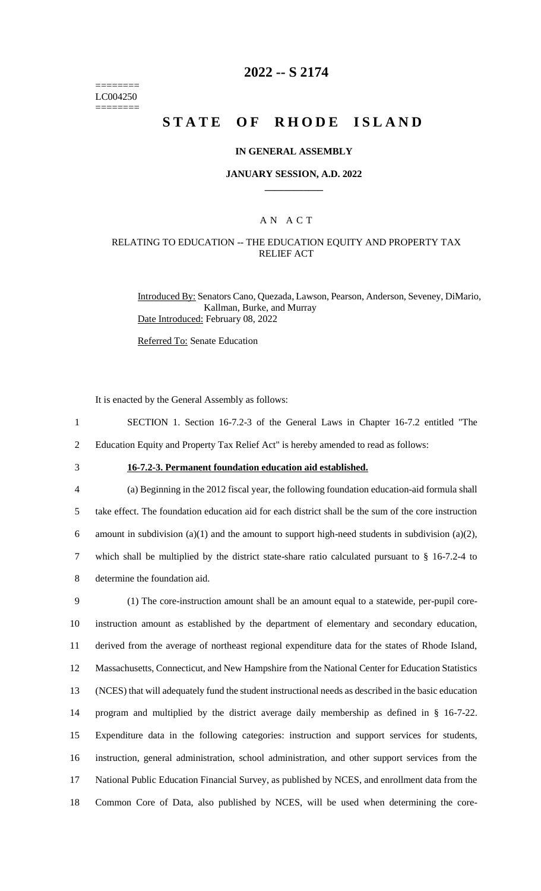======== LC004250 ========

## **2022 -- S 2174**

# **STATE OF RHODE ISLAND**

### **IN GENERAL ASSEMBLY**

#### **JANUARY SESSION, A.D. 2022 \_\_\_\_\_\_\_\_\_\_\_\_**

### A N A C T

### RELATING TO EDUCATION -- THE EDUCATION EQUITY AND PROPERTY TAX RELIEF ACT

Introduced By: Senators Cano, Quezada, Lawson, Pearson, Anderson, Seveney, DiMario, Kallman, Burke, and Murray Date Introduced: February 08, 2022

Referred To: Senate Education

It is enacted by the General Assembly as follows:

- 1 SECTION 1. Section 16-7.2-3 of the General Laws in Chapter 16-7.2 entitled "The
- 2 Education Equity and Property Tax Relief Act" is hereby amended to read as follows:
- 

## 3 **16-7.2-3. Permanent foundation education aid established.**

 (a) Beginning in the 2012 fiscal year, the following foundation education-aid formula shall take effect. The foundation education aid for each district shall be the sum of the core instruction 6 amount in subdivision (a)(1) and the amount to support high-need students in subdivision (a)(2), which shall be multiplied by the district state-share ratio calculated pursuant to § 16-7.2-4 to determine the foundation aid.

 (1) The core-instruction amount shall be an amount equal to a statewide, per-pupil core- instruction amount as established by the department of elementary and secondary education, derived from the average of northeast regional expenditure data for the states of Rhode Island, Massachusetts, Connecticut, and New Hampshire from the National Center for Education Statistics (NCES) that will adequately fund the student instructional needs as described in the basic education program and multiplied by the district average daily membership as defined in § 16-7-22. Expenditure data in the following categories: instruction and support services for students, instruction, general administration, school administration, and other support services from the National Public Education Financial Survey, as published by NCES, and enrollment data from the Common Core of Data, also published by NCES, will be used when determining the core-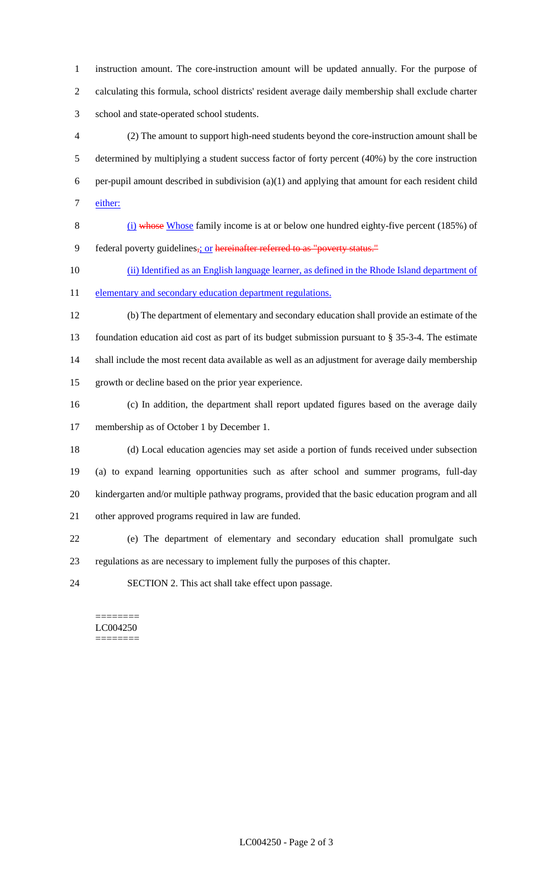instruction amount. The core-instruction amount will be updated annually. For the purpose of calculating this formula, school districts' resident average daily membership shall exclude charter school and state-operated school students.

 (2) The amount to support high-need students beyond the core-instruction amount shall be determined by multiplying a student success factor of forty percent (40%) by the core instruction per-pupil amount described in subdivision (a)(1) and applying that amount for each resident child either:

 (i) whose Whose family income is at or below one hundred eighty-five percent (185%) of 9 federal poverty guidelines<sub>5</sub>; or hereinafter referred to as "poverty status."

(ii) Identified as an English language learner, as defined in the Rhode Island department of

11 elementary and secondary education department regulations.

 (b) The department of elementary and secondary education shall provide an estimate of the foundation education aid cost as part of its budget submission pursuant to § 35-3-4. The estimate shall include the most recent data available as well as an adjustment for average daily membership growth or decline based on the prior year experience.

(c) In addition, the department shall report updated figures based on the average daily

membership as of October 1 by December 1.

 (d) Local education agencies may set aside a portion of funds received under subsection (a) to expand learning opportunities such as after school and summer programs, full-day kindergarten and/or multiple pathway programs, provided that the basic education program and all other approved programs required in law are funded.

 (e) The department of elementary and secondary education shall promulgate such regulations as are necessary to implement fully the purposes of this chapter.

SECTION 2. This act shall take effect upon passage.

======== LC004250 ========

LC004250 - Page 2 of 3